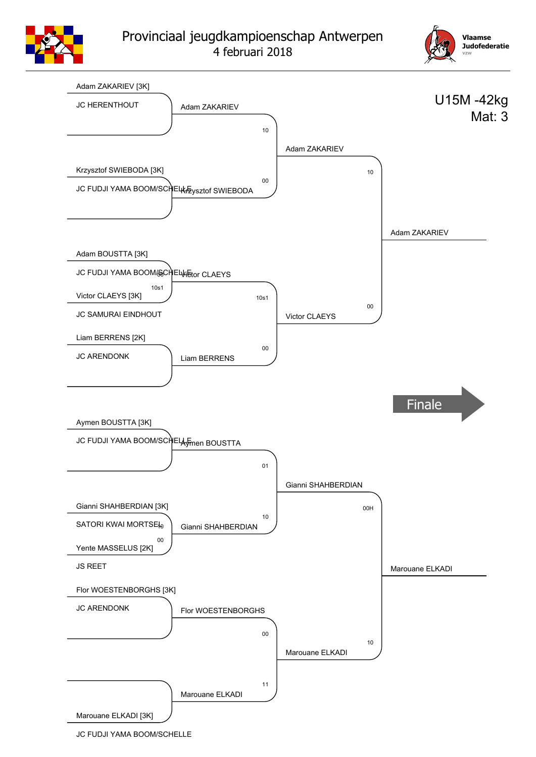